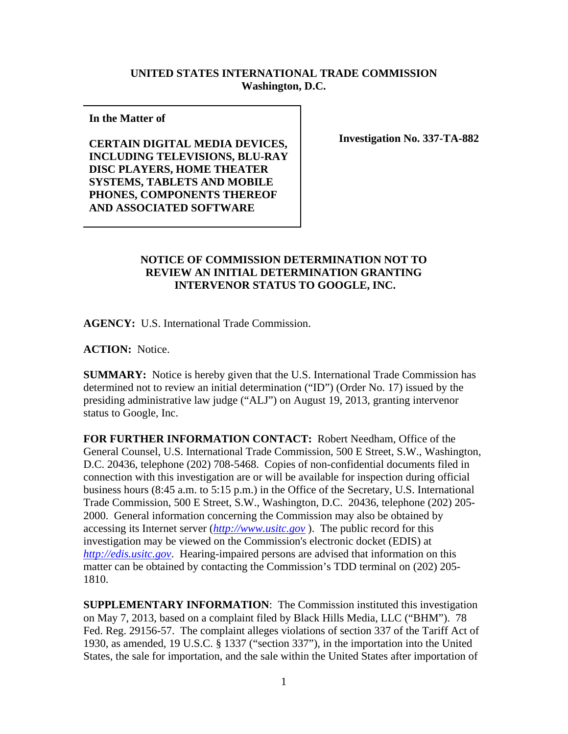## **UNITED STATES INTERNATIONAL TRADE COMMISSION Washington, D.C.**

**In the Matter of** 

**CERTAIN DIGITAL MEDIA DEVICES, INCLUDING TELEVISIONS, BLU-RAY DISC PLAYERS, HOME THEATER SYSTEMS, TABLETS AND MOBILE PHONES, COMPONENTS THEREOF AND ASSOCIATED SOFTWARE** 

**Investigation No. 337-TA-882**

## **NOTICE OF COMMISSION DETERMINATION NOT TO REVIEW AN INITIAL DETERMINATION GRANTING INTERVENOR STATUS TO GOOGLE, INC.**

**AGENCY:** U.S. International Trade Commission.

**ACTION:** Notice.

**SUMMARY:** Notice is hereby given that the U.S. International Trade Commission has determined not to review an initial determination ("ID") (Order No. 17) issued by the presiding administrative law judge ("ALJ") on August 19, 2013, granting intervenor status to Google, Inc.

**FOR FURTHER INFORMATION CONTACT:** Robert Needham, Office of the General Counsel, U.S. International Trade Commission, 500 E Street, S.W., Washington, D.C. 20436, telephone (202) 708-5468. Copies of non-confidential documents filed in connection with this investigation are or will be available for inspection during official business hours (8:45 a.m. to 5:15 p.m.) in the Office of the Secretary, U.S. International Trade Commission, 500 E Street, S.W., Washington, D.C. 20436, telephone (202) 205- 2000. General information concerning the Commission may also be obtained by accessing its Internet server (*http://www.usitc.gov* ). The public record for this investigation may be viewed on the Commission's electronic docket (EDIS) at *http://edis.usitc.gov*. Hearing-impaired persons are advised that information on this matter can be obtained by contacting the Commission's TDD terminal on (202) 205- 1810.

**SUPPLEMENTARY INFORMATION**: The Commission instituted this investigation on May 7, 2013, based on a complaint filed by Black Hills Media, LLC ("BHM"). 78 Fed. Reg. 29156-57. The complaint alleges violations of section 337 of the Tariff Act of 1930, as amended, 19 U.S.C. § 1337 ("section 337"), in the importation into the United States, the sale for importation, and the sale within the United States after importation of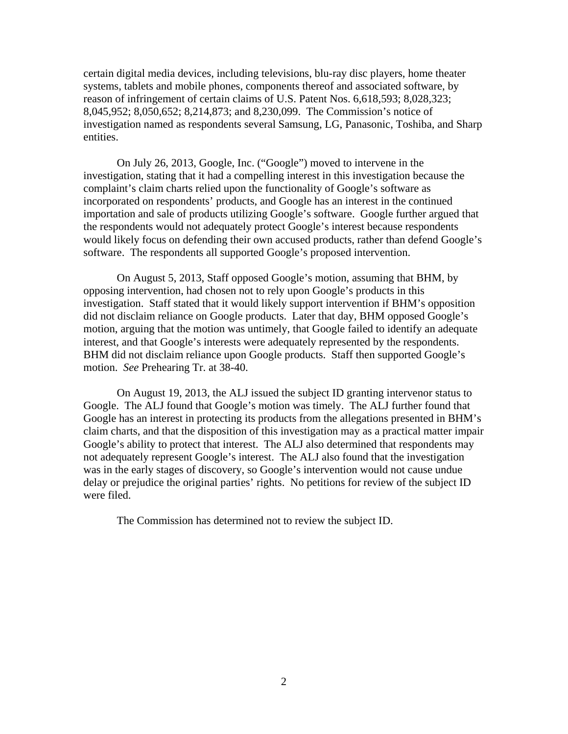certain digital media devices, including televisions, blu-ray disc players, home theater systems, tablets and mobile phones, components thereof and associated software, by reason of infringement of certain claims of U.S. Patent Nos. 6,618,593; 8,028,323; 8,045,952; 8,050,652; 8,214,873; and 8,230,099. The Commission's notice of investigation named as respondents several Samsung, LG, Panasonic, Toshiba, and Sharp entities.

On July 26, 2013, Google, Inc. ("Google") moved to intervene in the investigation, stating that it had a compelling interest in this investigation because the complaint's claim charts relied upon the functionality of Google's software as incorporated on respondents' products, and Google has an interest in the continued importation and sale of products utilizing Google's software. Google further argued that the respondents would not adequately protect Google's interest because respondents would likely focus on defending their own accused products, rather than defend Google's software. The respondents all supported Google's proposed intervention.

On August 5, 2013, Staff opposed Google's motion, assuming that BHM, by opposing intervention, had chosen not to rely upon Google's products in this investigation. Staff stated that it would likely support intervention if BHM's opposition did not disclaim reliance on Google products. Later that day, BHM opposed Google's motion, arguing that the motion was untimely, that Google failed to identify an adequate interest, and that Google's interests were adequately represented by the respondents. BHM did not disclaim reliance upon Google products. Staff then supported Google's motion. *See* Prehearing Tr. at 38-40.

On August 19, 2013, the ALJ issued the subject ID granting intervenor status to Google. The ALJ found that Google's motion was timely. The ALJ further found that Google has an interest in protecting its products from the allegations presented in BHM's claim charts, and that the disposition of this investigation may as a practical matter impair Google's ability to protect that interest. The ALJ also determined that respondents may not adequately represent Google's interest. The ALJ also found that the investigation was in the early stages of discovery, so Google's intervention would not cause undue delay or prejudice the original parties' rights. No petitions for review of the subject ID were filed.

The Commission has determined not to review the subject ID.